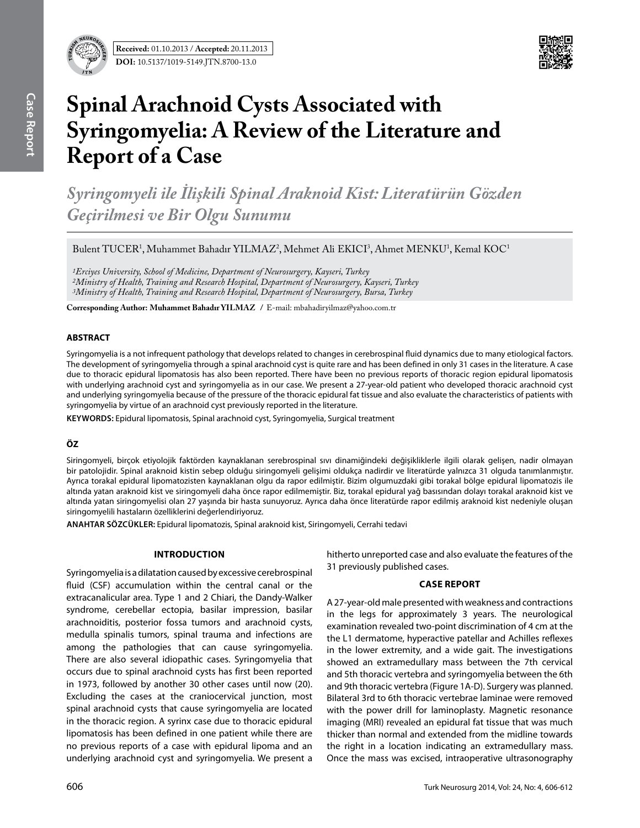

# **Spinal Arachnoid Cysts Associated with Syringomyelia: A Review of the Literature and Report of a Case**

*Syringomyeli ile İlişkili Spinal Araknoid Kist: Literatürün Gözden Geçirilmesi ve Bir Olgu Sunumu*

 $B$ ulent TUCER<sup>1</sup>, Muhammet Bahadır YILMAZ<sup>2</sup>, Mehmet Ali EKICI<sup>3</sup>, Ahmet MENKU<sup>1</sup>, Kemal KOC<sup>1</sup>

*1Erciyes University, School of Medicine, Department of Neurosurgery, Kayseri, Turkey 2Ministry of Health, Training and Research Hospital, Department of Neurosurgery, Kayseri, Turkey 3Ministry of Health, Training and Research Hospital, Department of Neurosurgery, Bursa, Turkey*

**Corresponding Author: Muhammet Bahadır Yılmaz /** E-mail: mbahadiryilmaz@yahoo.com.tr

## **ABSTRACT**

Syringomyelia is a not infrequent pathology that develops related to changes in cerebrospinal fluid dynamics due to many etiological factors. The development of syringomyelia through a spinal arachnoid cyst is quite rare and has been defined in only 31 cases in the literature. A case due to thoracic epidural lipomatosis has also been reported. There have been no previous reports of thoracic region epidural lipomatosis with underlying arachnoid cyst and syringomyelia as in our case. We present a 27-year-old patient who developed thoracic arachnoid cyst and underlying syringomyelia because of the pressure of the thoracic epidural fat tissue and also evaluate the characteristics of patients with syringomyelia by virtue of an arachnoid cyst previously reported in the literature.

**Keywords:** Epidural lipomatosis, Spinal arachnoid cyst, Syringomyelia, Surgical treatment

# **ÖZ**

Siringomyeli, birçok etiyolojik faktörden kaynaklanan serebrospinal sıvı dinamiğindeki değişikliklerle ilgili olarak gelişen, nadir olmayan bir patolojidir. Spinal araknoid kistin sebep olduğu siringomyeli gelişimi oldukça nadirdir ve literatürde yalnızca 31 olguda tanımlanmıştır. Ayrıca torakal epidural lipomatozisten kaynaklanan olgu da rapor edilmiştir. Bizim olgumuzdaki gibi torakal bölge epidural lipomatozis ile altında yatan araknoid kist ve siringomyeli daha önce rapor edilmemiştir. Biz, torakal epidural yağ basısından dolayı torakal araknoid kist ve altında yatan siringomyelisi olan 27 yaşında bir hasta sunuyoruz. Ayrıca daha önce literatürde rapor edilmiş araknoid kist nedeniyle oluşan siringomyelili hastaların özelliklerini değerlendiriyoruz.

**ANAHTAR SÖZCÜKLER:** Epidural lipomatozis, Spinal araknoid kist, Siringomyeli, Cerrahi tedavi

### **Introduction**

Syringomyelia is a dilatation caused by excessive cerebrospinal fluid (CSF) accumulation within the central canal or the extracanalicular area. Type 1 and 2 Chiari, the Dandy-Walker syndrome, cerebellar ectopia, basilar impression, basilar arachnoiditis, posterior fossa tumors and arachnoid cysts, medulla spinalis tumors, spinal trauma and infections are among the pathologies that can cause syringomyelia. There are also several idiopathic cases. Syringomyelia that occurs due to spinal arachnoid cysts has first been reported in 1973, followed by another 30 other cases until now (20). Excluding the cases at the craniocervical junction, most spinal arachnoid cysts that cause syringomyelia are located in the thoracic region. A syrinx case due to thoracic epidural lipomatosis has been defined in one patient while there are no previous reports of a case with epidural lipoma and an underlying arachnoid cyst and syringomyelia. We present a hitherto unreported case and also evaluate the features of the 31 previously published cases.

### **Case report**

A 27-year-old male presented with weakness and contractions in the legs for approximately 3 years. The neurological examination revealed two-point discrimination of 4 cm at the the L1 dermatome, hyperactive patellar and Achilles reflexes in the lower extremity, and a wide gait. The investigations showed an extramedullary mass between the 7th cervical and 5th thoracic vertebra and syringomyelia between the 6th and 9th thoracic vertebra (Figure 1A-D). Surgery was planned. Bilateral 3rd to 6th thoracic vertebrae laminae were removed with the power drill for laminoplasty. Magnetic resonance imaging (MRI) revealed an epidural fat tissue that was much thicker than normal and extended from the midline towards the right in a location indicating an extramedullary mass. Once the mass was excised, intraoperative ultrasonography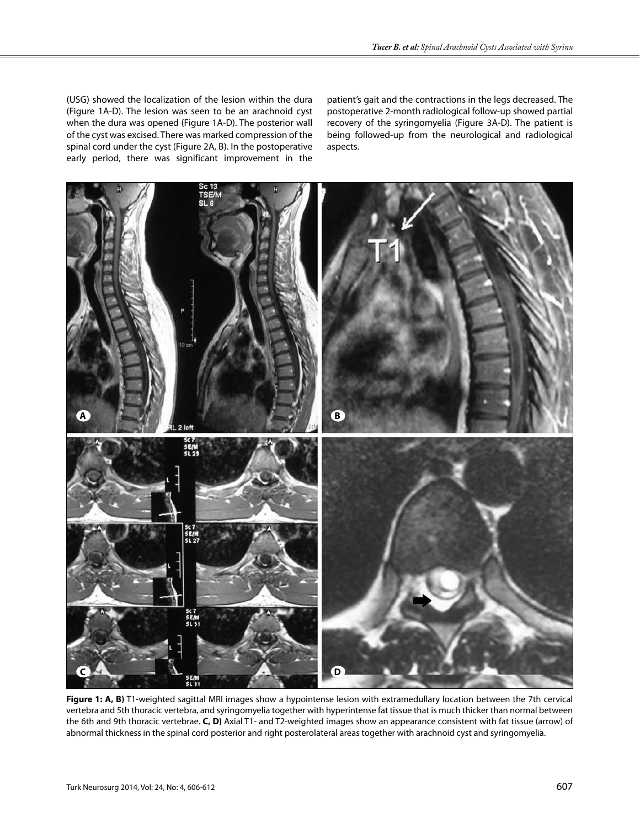(USG) showed the localization of the lesion within the dura (Figure 1A-D). The lesion was seen to be an arachnoid cyst when the dura was opened (Figure 1A-D). The posterior wall of the cyst was excised. There was marked compression of the spinal cord under the cyst (Figure 2A, B). In the postoperative early period, there was significant improvement in the patient's gait and the contractions in the legs decreased. The postoperative 2-month radiological follow-up showed partial recovery of the syringomyelia (Figure 3A-D). The patient is being followed-up from the neurological and radiological aspects.



**Figure 1: A, B)** T1-weighted sagittal MRI images show a hypointense lesion with extramedullary location between the 7th cervical vertebra and 5th thoracic vertebra, and syringomyelia together with hyperintense fat tissue that is much thicker than normal between the 6th and 9th thoracic vertebrae. **C, D)** Axial T1- and T2-weighted images show an appearance consistent with fat tissue (arrow) of abnormal thickness in the spinal cord posterior and right posterolateral areas together with arachnoid cyst and syringomyelia.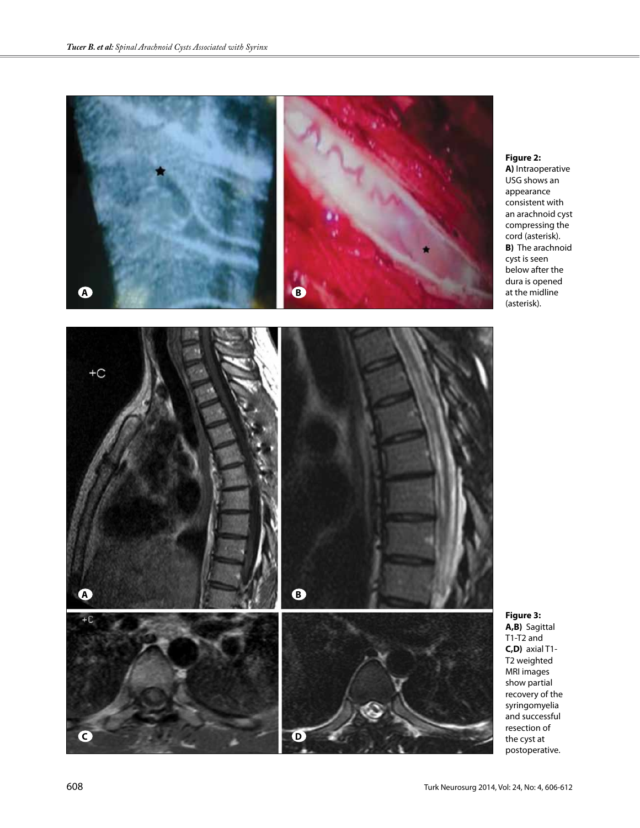

## **Figure 2: A)** Intraoperative USG shows an appearance consistent with an arachnoid cyst compressing the cord (asterisk). **B)** The arachnoid cyst is seen below after the dura is opened at the midline (asterisk).



**Figure 3: A,B)** Sagittal T1-T2 and **C,D)** axial T1- T2 weighted MRI images show partial recovery of the syringomyelia and successful resection of the cyst at postoperative.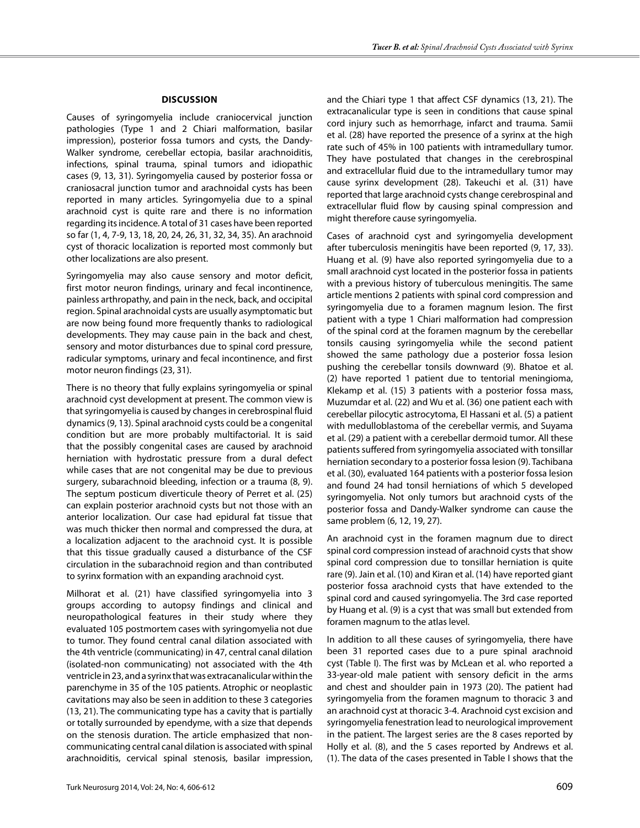### **Dıscussıon**

Causes of syringomyelia include craniocervical junction pathologies (Type 1 and 2 Chiari malformation, basilar impression), posterior fossa tumors and cysts, the Dandy-Walker syndrome, cerebellar ectopia, basilar arachnoiditis, infections, spinal trauma, spinal tumors and idiopathic cases (9, 13, 31). Syringomyelia caused by posterior fossa or craniosacral junction tumor and arachnoidal cysts has been reported in many articles. Syringomyelia due to a spinal arachnoid cyst is quite rare and there is no information regarding its incidence. A total of 31 cases have been reported so far (1, 4, 7-9, 13, 18, 20, 24, 26, 31, 32, 34, 35). An arachnoid cyst of thoracic localization is reported most commonly but other localizations are also present.

Syringomyelia may also cause sensory and motor deficit, first motor neuron findings, urinary and fecal incontinence, painless arthropathy, and pain in the neck, back, and occipital region. Spinal arachnoidal cysts are usually asymptomatic but are now being found more frequently thanks to radiological developments. They may cause pain in the back and chest, sensory and motor disturbances due to spinal cord pressure, radicular symptoms, urinary and fecal incontinence, and first motor neuron findings (23, 31).

There is no theory that fully explains syringomyelia or spinal arachnoid cyst development at present. The common view is that syringomyelia is caused by changes in cerebrospinal fluid dynamics (9, 13). Spinal arachnoid cysts could be a congenital condition but are more probably multifactorial. It is said that the possibly congenital cases are caused by arachnoid herniation with hydrostatic pressure from a dural defect while cases that are not congenital may be due to previous surgery, subarachnoid bleeding, infection or a trauma (8, 9). The septum posticum diverticule theory of Perret et al. (25) can explain posterior arachnoid cysts but not those with an anterior localization. Our case had epidural fat tissue that was much thicker then normal and compressed the dura, at a localization adjacent to the arachnoid cyst. It is possible that this tissue gradually caused a disturbance of the CSF circulation in the subarachnoid region and than contributed to syrinx formation with an expanding arachnoid cyst.

Milhorat et al. (21) have classified syringomyelia into 3 groups according to autopsy findings and clinical and neuropathological features in their study where they evaluated 105 postmortem cases with syringomyelia not due to tumor. They found central canal dilation associated with the 4th ventricle (communicating) in 47, central canal dilation (isolated-non communicating) not associated with the 4th ventricle in 23, and a syrinx that was extracanalicular within the parenchyme in 35 of the 105 patients. Atrophic or neoplastic cavitations may also be seen in addition to these 3 categories (13, 21). The communicating type has a cavity that is partially or totally surrounded by ependyme, with a size that depends on the stenosis duration. The article emphasized that noncommunicating central canal dilation is associated with spinal arachnoiditis, cervical spinal stenosis, basilar impression, and the Chiari type 1 that affect CSF dynamics (13, 21). The extracanalicular type is seen in conditions that cause spinal cord injury such as hemorrhage, infarct and trauma. Samii et al. (28) have reported the presence of a syrinx at the high rate such of 45% in 100 patients with intramedullary tumor. They have postulated that changes in the cerebrospinal and extracellular fluid due to the intramedullary tumor may cause syrinx development (28). Takeuchi et al. (31) have reported that large arachnoid cysts change cerebrospinal and extracellular fluid flow by causing spinal compression and might therefore cause syringomyelia.

Cases of arachnoid cyst and syringomyelia development after tuberculosis meningitis have been reported (9, 17, 33). Huang et al. (9) have also reported syringomyelia due to a small arachnoid cyst located in the posterior fossa in patients with a previous history of tuberculous meningitis. The same article mentions 2 patients with spinal cord compression and syringomyelia due to a foramen magnum lesion. The first patient with a type 1 Chiari malformation had compression of the spinal cord at the foramen magnum by the cerebellar tonsils causing syringomyelia while the second patient showed the same pathology due a posterior fossa lesion pushing the cerebellar tonsils downward (9). Bhatoe et al. (2) have reported 1 patient due to tentorial meningioma, Klekamp et al. (15) 3 patients with a posterior fossa mass, Muzumdar et al. (22) and Wu et al. (36) one patient each with cerebellar pilocytic astrocytoma, El Hassani et al. (5) a patient with medulloblastoma of the cerebellar vermis, and Suyama et al. (29) a patient with a cerebellar dermoid tumor. All these patients suffered from syringomyelia associated with tonsillar herniation secondary to a posterior fossa lesion (9). Tachibana et al. (30), evaluated 164 patients with a posterior fossa lesion and found 24 had tonsil herniations of which 5 developed syringomyelia. Not only tumors but arachnoid cysts of the posterior fossa and Dandy-Walker syndrome can cause the same problem (6, 12, 19, 27).

An arachnoid cyst in the foramen magnum due to direct spinal cord compression instead of arachnoid cysts that show spinal cord compression due to tonsillar herniation is quite rare (9). Jain et al. (10) and Kiran et al. (14) have reported giant posterior fossa arachnoid cysts that have extended to the spinal cord and caused syringomyelia. The 3rd case reported by Huang et al. (9) is a cyst that was small but extended from foramen magnum to the atlas level.

In addition to all these causes of syringomyelia, there have been 31 reported cases due to a pure spinal arachnoid cyst (Table I). The first was by McLean et al. who reported a 33-year-old male patient with sensory deficit in the arms and chest and shoulder pain in 1973 (20). The patient had syringomyelia from the foramen magnum to thoracic 3 and an arachnoid cyst at thoracic 3-4. Arachnoid cyst excision and syringomyelia fenestration lead to neurological improvement in the patient. The largest series are the 8 cases reported by Holly et al. (8), and the 5 cases reported by Andrews et al. (1). The data of the cases presented in Table I shows that the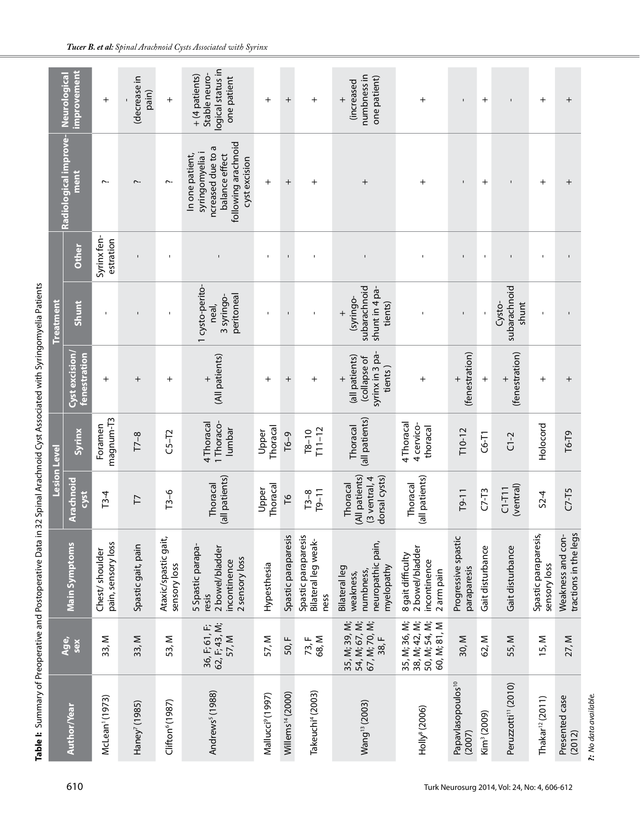|                                         |                                                                 |                                                                                 | <b>Lesion Level</b>                                         |                                      |                                                                        | <b>Treatment</b>                                      |                          |                                                                                                                   |                                                                     |
|-----------------------------------------|-----------------------------------------------------------------|---------------------------------------------------------------------------------|-------------------------------------------------------------|--------------------------------------|------------------------------------------------------------------------|-------------------------------------------------------|--------------------------|-------------------------------------------------------------------------------------------------------------------|---------------------------------------------------------------------|
| Author/Year                             | Age,<br>sex                                                     | <b>Main Symptoms</b>                                                            | Arachnoid<br>cyst                                           | Syrinx                               | Cyst excision/<br>fenestration                                         | Shunt                                                 | Other                    | Radiological improve-<br>ment                                                                                     | <b>improvement</b><br><b>Neurological</b>                           |
| McLean <sup>1</sup> (1973)              | 33, M                                                           | pain, sensory loss<br>Chest/ shoulder                                           | $T3-4$                                                      | magnum-T3<br>Foramen                 | $^{+}$                                                                 | $\blacksquare$                                        | Syrinx fen-<br>estration | $\sim$                                                                                                            | $^{+}$                                                              |
| Haney <sup>7</sup> (1985)               | 33, M                                                           | Spastic gait, pain                                                              | $\overline{\phantom{0}}$                                    | $T7 - 8$                             | $\mathrm{+}$                                                           |                                                       | $\blacksquare$           | $\overline{\phantom{a}}$                                                                                          | (decrease in<br>pain)                                               |
| Clifton <sup>6</sup> (1987)             | 53, M                                                           | Ataxic/spastic gait,<br>sensory loss                                            | $T3-6$                                                      | $C5-T2$                              | $\mathrm{+}$                                                           | $\mathbf{I}$                                          |                          | $\sim$                                                                                                            | $\overline{+}$                                                      |
| Andrews <sup>5</sup> (1988)             | 62, F; 43, M;<br>36, F; 61, F;<br>57, M                         | 5 Spastic parapa-<br>2 bowel/bladder<br>2 sensory loss<br>incontinence<br>resis | (all patients)<br>Thoracal                                  | 1 Thoraco-<br>4 Thoracal<br>lumbar   | (All patients)<br>$^{+}$                                               | 1 cysto-perito-<br>peritoneal<br>3 syringo-<br>neal,  | $\mathbf{I}$             | following arachnoid<br>ncreased due to a<br>syringomyelia i<br>balance effect<br>In one patient,<br>cyst excision | logical status in<br>Stable neuro-<br>+ (4 patients)<br>one patient |
| Mallucci <sup>9</sup> (1997)            | 57, M                                                           | Hypesthesia                                                                     | <b>Thoracal</b><br>Upper                                    | Thoracal<br>Upper                    | $^{+}$                                                                 |                                                       |                          | $^{+}$                                                                                                            | $^{+}$                                                              |
| Willems <sup>14</sup> (2000)            | 50, F                                                           | Spastic paraparesis                                                             | $\overline{16}$                                             | $F - 9$                              | $^{+}$                                                                 | $\mathbf I$                                           | $\mathbf I$              | $^{+}$                                                                                                            | $^{+}$                                                              |
| Takeuchi <sup>4</sup> (2003)            | 68, M<br>73, F                                                  | Spastic paraparesis<br>Bilateral leg weak-<br>ness                              | $T9 - 11$<br>$T3 - 8$                                       | $T11 - 12$<br>$T8 - 10$              | $\,{}^+$                                                               |                                                       |                          | $\, +$                                                                                                            | $^{+}$                                                              |
| Wang <sup>13</sup> (2003)               | 67, M; 70, M;<br>54, M; 67, M;<br>35, M; 39, M;<br>38, F        | neuropathic pain,<br>myelopathy<br>Bilateral leg<br>numbness,<br>weakness,      | (All patients)<br>3 ventral, 4<br>dorsal cysts)<br>Thoracal | (all patients)<br>Thoracal           | syrinx in 3 pa-<br>(all patients)<br>(collapse of<br>tients)<br>$^{+}$ | subarachnoid<br>shunt in 4 pa-<br>-opuing)<br>tients) | $\mathbf{I}$             | $\overline{+}$                                                                                                    | numbness in<br>one patient)<br>(increased<br>$^{+}$                 |
| Holly <sup>8</sup> (2006)               | 38, M; 42, M;<br>50, M; 54, M;<br>35, M; 36, M;<br>60, M; 81, M | 2 bowel/bladder<br>8 gait difficulty<br>incontinence<br>2 arm pain              | (all patients)<br>Thoracal                                  | 4 Thoracal<br>4 cervico-<br>thoracal | $\mathrm{+}$                                                           |                                                       |                          | $\mathrm{+}$                                                                                                      | $\overline{+}$                                                      |
| Papavlasopoulos <sup>10</sup><br>(2007) | 30, M                                                           | Progressive spastic<br>paraparesis                                              | $T9-11$                                                     | $T10-12$                             | (fenestration)<br>$^{+}$                                               | $\mathbf I$                                           |                          |                                                                                                                   | $\mathbf{I}$                                                        |
| Kim <sup>3</sup> (2009)                 | 62, M                                                           | Gait disturbance                                                                | $C7-73$                                                     | $C6-T1$                              | $\overline{+}$                                                         |                                                       | $\blacksquare$           | $\,^+$                                                                                                            | $^{+}$                                                              |
| Peruzzotti <sup>11</sup> (2010)         | 55, M                                                           | Gait disturbance                                                                | (ventral)<br>$C1 - T11$                                     | $C1-2$                               | (fenestration)<br>$^{+}$                                               | subarachnoid<br>Cysto-<br>shunt                       | $\mathbf{I}$             | $\blacksquare$                                                                                                    | $\mathbf{I}$                                                        |
| Thakar <sup>12</sup> (2011)             | 15, M                                                           | Spastic paraparesis,<br>sensory loss                                            | $52-4$                                                      | Holocord                             | $^{+}$                                                                 | $\mathbf I$                                           | $\mathbf I$              | $^{+}$                                                                                                            | $^{+}$                                                              |
| Presented case<br>(2012)                | 27, M                                                           | tractions in the legs<br>Weakness and con-                                      | $C7-T5$                                                     | $T6-79$                              | $\overline{+}$                                                         |                                                       | $\mathbf I$              | $\overline{+}$                                                                                                    | $^{+}$                                                              |
| ?: No data available.                   |                                                                 |                                                                                 |                                                             |                                      |                                                                        |                                                       |                          |                                                                                                                   |                                                                     |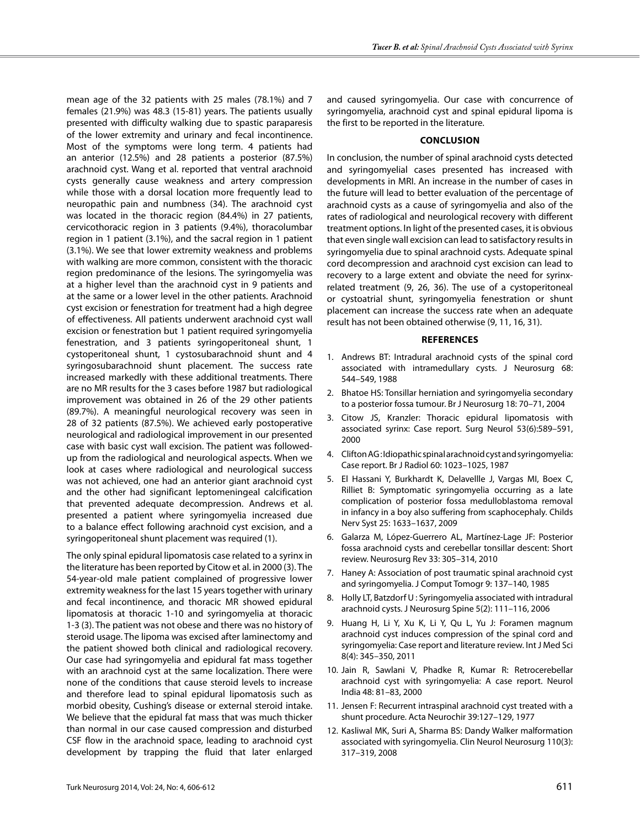mean age of the 32 patients with 25 males (78.1%) and 7 females (21.9%) was 48.3 (15-81) years. The patients usually presented with difficulty walking due to spastic paraparesis of the lower extremity and urinary and fecal incontinence. Most of the symptoms were long term. 4 patients had an anterior (12.5%) and 28 patients a posterior (87.5%) arachnoid cyst. Wang et al. reported that ventral arachnoid cysts generally cause weakness and artery compression while those with a dorsal location more frequently lead to neuropathic pain and numbness (34). The arachnoid cyst was located in the thoracic region (84.4%) in 27 patients, cervicothoracic region in 3 patients (9.4%), thoracolumbar region in 1 patient (3.1%), and the sacral region in 1 patient (3.1%). We see that lower extremity weakness and problems with walking are more common, consistent with the thoracic region predominance of the lesions. The syringomyelia was at a higher level than the arachnoid cyst in 9 patients and at the same or a lower level in the other patients. Arachnoid cyst excision or fenestration for treatment had a high degree of effectiveness. All patients underwent arachnoid cyst wall excision or fenestration but 1 patient required syringomyelia fenestration, and 3 patients syringoperitoneal shunt, 1 cystoperitoneal shunt, 1 cystosubarachnoid shunt and 4 syringosubarachnoid shunt placement. The success rate increased markedly with these additional treatments. There are no MR results for the 3 cases before 1987 but radiological improvement was obtained in 26 of the 29 other patients (89.7%). A meaningful neurological recovery was seen in 28 of 32 patients (87.5%). We achieved early postoperative neurological and radiological improvement in our presented case with basic cyst wall excision. The patient was followedup from the radiological and neurological aspects. When we look at cases where radiological and neurological success was not achieved, one had an anterior giant arachnoid cyst and the other had significant leptomeningeal calcification that prevented adequate decompression. Andrews et al. presented a patient where syringomyelia increased due to a balance effect following arachnoid cyst excision, and a syringoperitoneal shunt placement was required (1).

The only spinal epidural lipomatosis case related to a syrinx in the literature has been reported by Citow et al. in 2000 (3). The 54-year-old male patient complained of progressive lower extremity weakness for the last 15 years together with urinary and fecal incontinence, and thoracic MR showed epidural lipomatosis at thoracic 1-10 and syringomyelia at thoracic 1-3 (3). The patient was not obese and there was no history of steroid usage. The lipoma was excised after laminectomy and the patient showed both clinical and radiological recovery. Our case had syringomyelia and epidural fat mass together with an arachnoid cyst at the same localization. There were none of the conditions that cause steroid levels to increase and therefore lead to spinal epidural lipomatosis such as morbid obesity, Cushing's disease or external steroid intake. We believe that the epidural fat mass that was much thicker than normal in our case caused compression and disturbed CSF flow in the arachnoid space, leading to arachnoid cyst development by trapping the fluid that later enlarged and caused syringomyelia. Our case with concurrence of syringomyelia, arachnoid cyst and spinal epidural lipoma is the first to be reported in the literature.

#### **Conclusıon**

In conclusion, the number of spinal arachnoid cysts detected and syringomyelial cases presented has increased with developments in MRI. An increase in the number of cases in the future will lead to better evaluation of the percentage of arachnoid cysts as a cause of syringomyelia and also of the rates of radiological and neurological recovery with different treatment options. In light of the presented cases, it is obvious that even single wall excision can lead to satisfactory results in syringomyelia due to spinal arachnoid cysts. Adequate spinal cord decompression and arachnoid cyst excision can lead to recovery to a large extent and obviate the need for syrinxrelated treatment (9, 26, 36). The use of a cystoperitoneal or cystoatrial shunt, syringomyelia fenestration or shunt placement can increase the success rate when an adequate result has not been obtained otherwise (9, 11, 16, 31).

#### **References**

- 1. Andrews BT: Intradural arachnoid cysts of the spinal cord associated with intramedullary cysts. J Neurosurg 68: 544–549, 1988
- 2. Bhatoe HS: Tonsillar herniation and syringomyelia secondary to a posterior fossa tumour. Br J Neurosurg 18: 70–71, 2004
- 3. Citow JS, Kranzler: Thoracic epidural lipomatosis with associated syrinx: Case report. Surg Neurol 53(6):589–591, 2000
- 4. Clifton AG : Idiopathic spinal arachnoid cyst and syringomyelia: Case report. Br J Radiol 60: 1023–1025, 1987
- 5. El Hassani Y, Burkhardt K, Delavellle J, Vargas MI, Boex C, Rilliet B: Symptomatic syringomyelia occurring as a late complication of posterior fossa medulloblastoma removal in infancy in a boy also suffering from scaphocephaly. Childs Nerv Syst 25: 1633–1637, 2009
- 6. Galarza M, López-Guerrero AL, Martínez-Lage JF: Posterior fossa arachnoid cysts and cerebellar tonsillar descent: Short review. Neurosurg Rev 33: 305–314, 2010
- 7. Haney A: Association of post traumatic spinal arachnoid cyst and syringomyelia. J Comput Tomogr 9: 137–140, 1985
- 8. Holly LT, Batzdorf U : Syringomyelia associated with intradural arachnoid cysts. J Neurosurg Spine 5(2): 111–116, 2006
- 9. Huang H, Li Y, Xu K, Li Y, Qu L, Yu J: Foramen magnum arachnoid cyst induces compression of the spinal cord and syringomyelia: Case report and literature review. Int J Med Sci 8(4): 345–350, 2011
- 10. Jain R, Sawlani V, Phadke R, Kumar R: Retrocerebellar arachnoid cyst with syringomyelia: A case report. Neurol India 48: 81–83, 2000
- 11. Jensen F: Recurrent intraspinal arachnoid cyst treated with a shunt procedure. Acta Neurochir 39:127–129, 1977
- 12. Kasliwal MK, Suri A, Sharma BS: Dandy Walker malformation associated with syringomyelia. Clin Neurol Neurosurg 110(3): 317–319, 2008